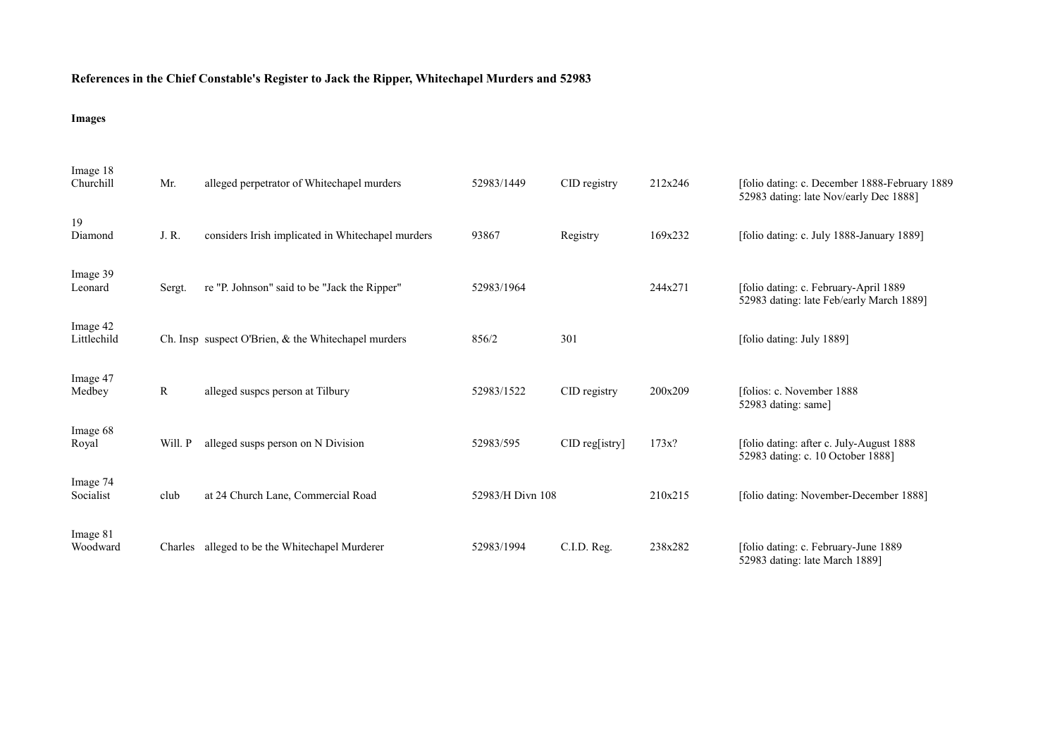## **References in the Chief Constable's Register to Jack the Ripper, Whitechapel Murders and 52983**

## **Images**

| Image 18<br>Churchill   | Mr.     | alleged perpetrator of Whitechapel murders          | 52983/1449       | CID registry   | 212x246 | [folio dating: c. December 1888-February 1889]<br>52983 dating: late Nov/early Dec 1888] |
|-------------------------|---------|-----------------------------------------------------|------------------|----------------|---------|------------------------------------------------------------------------------------------|
| 19<br>Diamond           | J. R.   | considers Irish implicated in Whitechapel murders   | 93867            | Registry       | 169x232 | [folio dating: c. July 1888-January 1889]                                                |
| Image 39<br>Leonard     | Sergt.  | re "P. Johnson" said to be "Jack the Ripper"        | 52983/1964       |                | 244x271 | [folio dating: c. February-April 1889<br>52983 dating: late Feb/early March 1889]        |
| Image 42<br>Littlechild |         | Ch. Insp suspect O'Brien, & the Whitechapel murders | 856/2            | 301            |         | [folio dating: July 1889]                                                                |
| Image 47<br>Medbey      | R       | alleged suspcs person at Tilbury                    | 52983/1522       | CID registry   | 200x209 | [folios: c. November 1888]<br>52983 dating: same]                                        |
| Image 68<br>Royal       | Will. P | alleged susps person on N Division                  | 52983/595        | CID reg[istry] | 173x?   | [folio dating: after c. July-August 1888]<br>52983 dating: c. 10 October 1888]           |
| Image 74<br>Socialist   | club    | at 24 Church Lane, Commercial Road                  | 52983/H Divn 108 |                | 210x215 | [folio dating: November-December 1888]                                                   |
| Image 81<br>Woodward    |         | Charles alleged to be the Whitechapel Murderer      | 52983/1994       | C.I.D. Reg.    | 238x282 | [folio dating: c. February-June 1889]<br>52983 dating: late March 1889]                  |